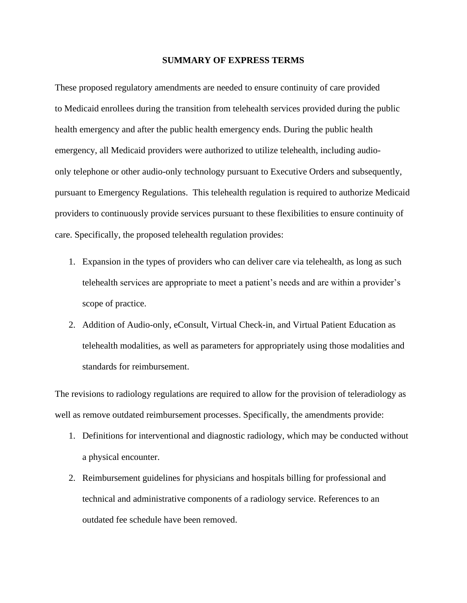#### **SUMMARY OF EXPRESS TERMS**

These proposed regulatory amendments are needed to ensure continuity of care provided to Medicaid enrollees during the transition from telehealth services provided during the public health emergency and after the public health emergency ends. During the public health emergency, all Medicaid providers were authorized to utilize telehealth, including audioonly telephone or other audio-only technology pursuant to Executive Orders and subsequently, pursuant to Emergency Regulations. This telehealth regulation is required to authorize Medicaid providers to continuously provide services pursuant to these flexibilities to ensure continuity of care. Specifically, the proposed telehealth regulation provides:

- 1. Expansion in the types of providers who can deliver care via telehealth, as long as such telehealth services are appropriate to meet a patient's needs and are within a provider's scope of practice.
- 2. Addition of Audio-only, eConsult, Virtual Check-in, and Virtual Patient Education as telehealth modalities, as well as parameters for appropriately using those modalities and standards for reimbursement.

The revisions to radiology regulations are required to allow for the provision of teleradiology as well as remove outdated reimbursement processes. Specifically, the amendments provide:

- 1. Definitions for interventional and diagnostic radiology, which may be conducted without a physical encounter.
- 2. Reimbursement guidelines for physicians and hospitals billing for professional and technical and administrative components of a radiology service. References to an outdated fee schedule have been removed.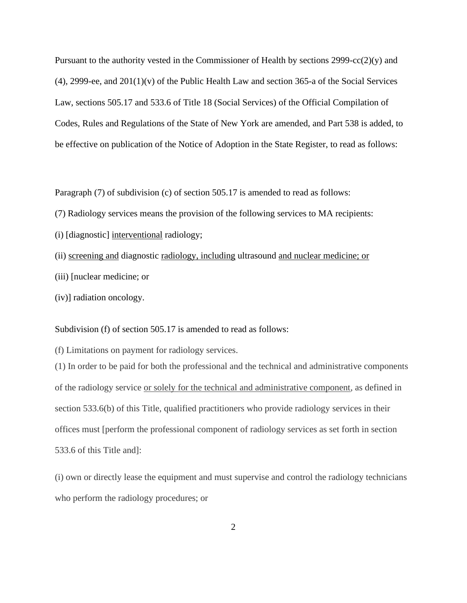Pursuant to the authority vested in the Commissioner of Health by sections 2999-cc(2)(y) and  $(4)$ , 2999-ee, and 201 $(1)(v)$  of the Public Health Law and section 365-a of the Social Services Law, sections 505.17 and 533.6 of Title 18 (Social Services) of the Official Compilation of Codes, Rules and Regulations of the State of New York are amended, and Part 538 is added, to be effective on publication of the Notice of Adoption in the State Register, to read as follows:

Paragraph (7) of subdivision (c) of section 505.17 is amended to read as follows:

- (7) Radiology services means the provision of the following services to MA recipients:
- (i) [diagnostic] interventional radiology;
- (ii) screening and diagnostic radiology, including ultrasound and nuclear medicine; or
- (iii) [nuclear medicine; or
- (iv)] radiation oncology.

#### Subdivision (f) of section 505.17 is amended to read as follows:

(f) Limitations on payment for radiology services.

(1) In order to be paid for both the professional and the technical and administrative components of the radiology service or solely for the technical and administrative component, as defined in section 533.6(b) of this Title, qualified practitioners who provide radiology services in their offices must [perform the professional component of radiology services as set forth in section 533.6 of this Title and]:

(i) own or directly lease the equipment and must supervise and control the radiology technicians who perform the radiology procedures; or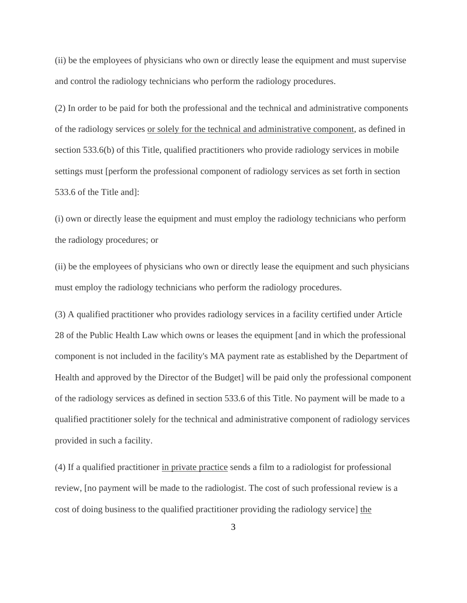(ii) be the employees of physicians who own or directly lease the equipment and must supervise and control the radiology technicians who perform the radiology procedures.

(2) In order to be paid for both the professional and the technical and administrative components of the radiology services or solely for the technical and administrative component, as defined in section 533.6(b) of this Title, qualified practitioners who provide radiology services in mobile settings must [perform the professional component of radiology services as set forth in section 533.6 of the Title and]:

(i) own or directly lease the equipment and must employ the radiology technicians who perform the radiology procedures; or

(ii) be the employees of physicians who own or directly lease the equipment and such physicians must employ the radiology technicians who perform the radiology procedures.

(3) A qualified practitioner who provides radiology services in a facility certified under Article 28 of the Public Health Law which owns or leases the equipment [and in which the professional component is not included in the facility's MA payment rate as established by the Department of Health and approved by the Director of the Budget] will be paid only the professional component of the radiology services as defined in section 533.6 of this Title. No payment will be made to a qualified practitioner solely for the technical and administrative component of radiology services provided in such a facility.

(4) If a qualified practitioner in private practice sends a film to a radiologist for professional review, [no payment will be made to the radiologist. The cost of such professional review is a cost of doing business to the qualified practitioner providing the radiology service] the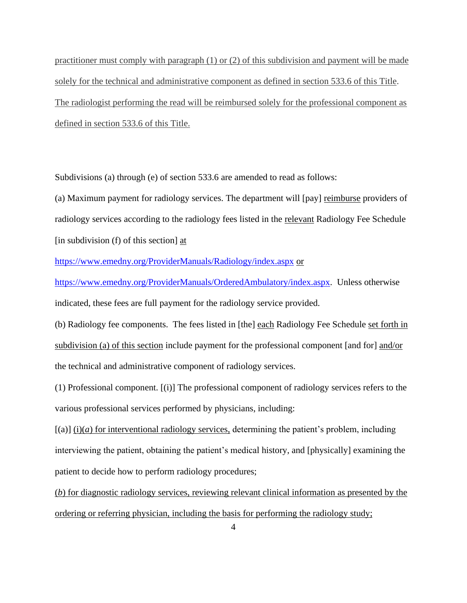practitioner must comply with paragraph (1) or (2) of this subdivision and payment will be made solely for the technical and administrative component as defined in section 533.6 of this Title. The radiologist performing the read will be reimbursed solely for the professional component as defined in section 533.6 of this Title.

Subdivisions (a) through (e) of section 533.6 are amended to read as follows:

(a) Maximum payment for radiology services. The department will [pay] reimburse providers of radiology services according to the radiology fees listed in the relevant Radiology Fee Schedule [in subdivision (f) of this section] at

<https://www.emedny.org/ProviderManuals/Radiology/index.aspx> or

[https://www.emedny.org/ProviderManuals/OrderedAmbulatory/index.aspx.](https://www.emedny.org/ProviderManuals/OrderedAmbulatory/index.aspx) Unless otherwise indicated, these fees are full payment for the radiology service provided.

(b) Radiology fee components. The fees listed in [the] each Radiology Fee Schedule set forth in subdivision (a) of this section include payment for the professional component [and for] and/or the technical and administrative component of radiology services.

(1) Professional component. [(i)] The professional component of radiology services refers to the various professional services performed by physicians, including:

 $[(a)]$  (i)(*a*) for interventional radiology services, determining the patient's problem, including interviewing the patient, obtaining the patient's medical history, and [physically] examining the patient to decide how to perform radiology procedures;

(*b*) for diagnostic radiology services, reviewing relevant clinical information as presented by the ordering or referring physician, including the basis for performing the radiology study;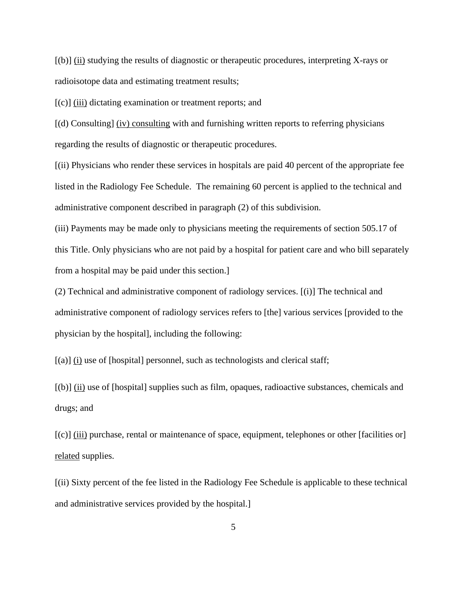[(b)] (ii) studying the results of diagnostic or therapeutic procedures, interpreting X-rays or radioisotope data and estimating treatment results;

[(c)] (iii) dictating examination or treatment reports; and

[(d) Consulting] (iv) consulting with and furnishing written reports to referring physicians regarding the results of diagnostic or therapeutic procedures.

[(ii) Physicians who render these services in hospitals are paid 40 percent of the appropriate fee listed in the Radiology Fee Schedule. The remaining 60 percent is applied to the technical and administrative component described in paragraph (2) of this subdivision.

(iii) Payments may be made only to physicians meeting the requirements of section 505.17 of this Title. Only physicians who are not paid by a hospital for patient care and who bill separately from a hospital may be paid under this section.]

(2) Technical and administrative component of radiology services. [(i)] The technical and administrative component of radiology services refers to [the] various services [provided to the physician by the hospital], including the following:

[(a)] (i) use of [hospital] personnel, such as technologists and clerical staff;

[(b)] (ii) use of [hospital] supplies such as film, opaques, radioactive substances, chemicals and drugs; and

[(c)] (iii) purchase, rental or maintenance of space, equipment, telephones or other [facilities or] related supplies.

[(ii) Sixty percent of the fee listed in the Radiology Fee Schedule is applicable to these technical and administrative services provided by the hospital.]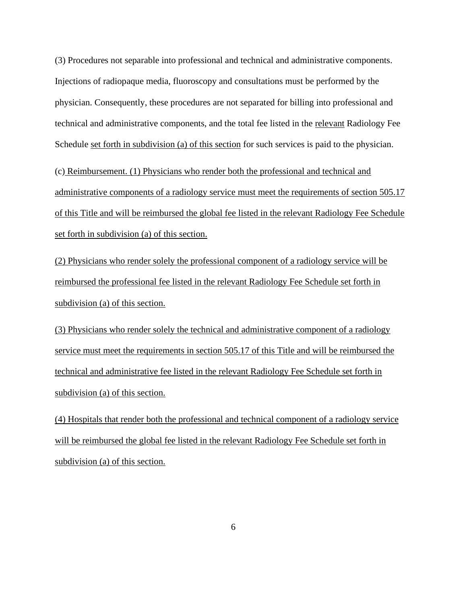(3) Procedures not separable into professional and technical and administrative components. Injections of radiopaque media, fluoroscopy and consultations must be performed by the physician. Consequently, these procedures are not separated for billing into professional and technical and administrative components, and the total fee listed in the relevant Radiology Fee Schedule set forth in subdivision (a) of this section for such services is paid to the physician.

(c) Reimbursement. (1) Physicians who render both the professional and technical and administrative components of a radiology service must meet the requirements of section 505.17 of this Title and will be reimbursed the global fee listed in the relevant Radiology Fee Schedule set forth in subdivision (a) of this section.

(2) Physicians who render solely the professional component of a radiology service will be reimbursed the professional fee listed in the relevant Radiology Fee Schedule set forth in subdivision (a) of this section.

(3) Physicians who render solely the technical and administrative component of a radiology service must meet the requirements in section 505.17 of this Title and will be reimbursed the technical and administrative fee listed in the relevant Radiology Fee Schedule set forth in subdivision (a) of this section.

(4) Hospitals that render both the professional and technical component of a radiology service will be reimbursed the global fee listed in the relevant Radiology Fee Schedule set forth in subdivision (a) of this section.

6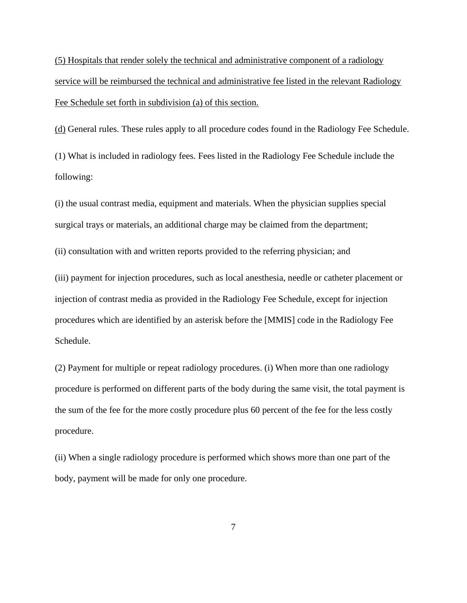(5) Hospitals that render solely the technical and administrative component of a radiology service will be reimbursed the technical and administrative fee listed in the relevant Radiology Fee Schedule set forth in subdivision (a) of this section.

(d) General rules. These rules apply to all procedure codes found in the Radiology Fee Schedule.

(1) What is included in radiology fees. Fees listed in the Radiology Fee Schedule include the following:

(i) the usual contrast media, equipment and materials. When the physician supplies special surgical trays or materials, an additional charge may be claimed from the department;

(ii) consultation with and written reports provided to the referring physician; and

(iii) payment for injection procedures, such as local anesthesia, needle or catheter placement or injection of contrast media as provided in the Radiology Fee Schedule, except for injection procedures which are identified by an asterisk before the [MMIS] code in the Radiology Fee Schedule.

(2) Payment for multiple or repeat radiology procedures. (i) When more than one radiology procedure is performed on different parts of the body during the same visit, the total payment is the sum of the fee for the more costly procedure plus 60 percent of the fee for the less costly procedure.

(ii) When a single radiology procedure is performed which shows more than one part of the body, payment will be made for only one procedure.

7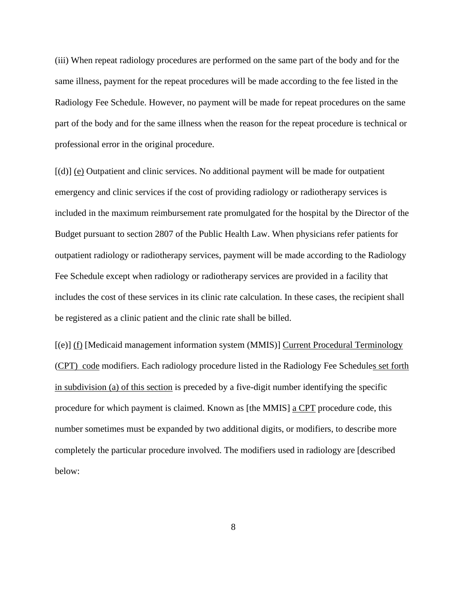(iii) When repeat radiology procedures are performed on the same part of the body and for the same illness, payment for the repeat procedures will be made according to the fee listed in the Radiology Fee Schedule. However, no payment will be made for repeat procedures on the same part of the body and for the same illness when the reason for the repeat procedure is technical or professional error in the original procedure.

[(d)] (e) Outpatient and clinic services. No additional payment will be made for outpatient emergency and clinic services if the cost of providing radiology or radiotherapy services is included in the maximum reimbursement rate promulgated for the hospital by the Director of the Budget pursuant to section 2807 of the Public Health Law. When physicians refer patients for outpatient radiology or radiotherapy services, payment will be made according to the Radiology Fee Schedule except when radiology or radiotherapy services are provided in a facility that includes the cost of these services in its clinic rate calculation. In these cases, the recipient shall be registered as a clinic patient and the clinic rate shall be billed.

[(e)] (f) [Medicaid management information system (MMIS)] Current Procedural Terminology (CPT) code modifiers. Each radiology procedure listed in the Radiology Fee Schedules set forth in subdivision (a) of this section is preceded by a five-digit number identifying the specific procedure for which payment is claimed. Known as [the MMIS] a CPT procedure code, this number sometimes must be expanded by two additional digits, or modifiers, to describe more completely the particular procedure involved. The modifiers used in radiology are [described below:

8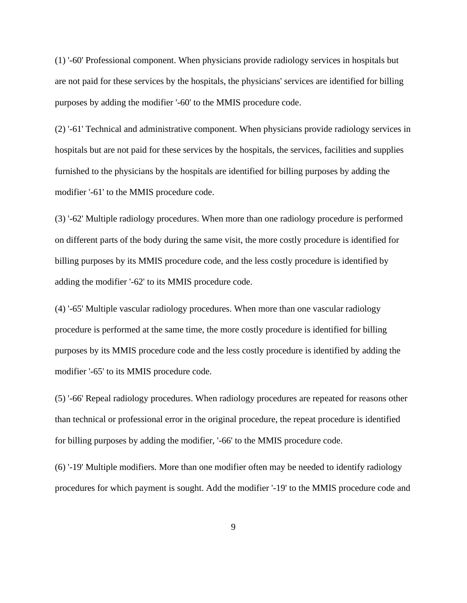(1) '-60' Professional component. When physicians provide radiology services in hospitals but are not paid for these services by the hospitals, the physicians' services are identified for billing purposes by adding the modifier '-60' to the MMIS procedure code.

(2) '-61' Technical and administrative component. When physicians provide radiology services in hospitals but are not paid for these services by the hospitals, the services, facilities and supplies furnished to the physicians by the hospitals are identified for billing purposes by adding the modifier '-61' to the MMIS procedure code.

(3) '-62' Multiple radiology procedures. When more than one radiology procedure is performed on different parts of the body during the same visit, the more costly procedure is identified for billing purposes by its MMIS procedure code, and the less costly procedure is identified by adding the modifier '-62' to its MMIS procedure code.

(4) '-65' Multiple vascular radiology procedures. When more than one vascular radiology procedure is performed at the same time, the more costly procedure is identified for billing purposes by its MMIS procedure code and the less costly procedure is identified by adding the modifier '-65' to its MMIS procedure code.

(5) '-66' Repeal radiology procedures. When radiology procedures are repeated for reasons other than technical or professional error in the original procedure, the repeat procedure is identified for billing purposes by adding the modifier, '-66' to the MMIS procedure code.

(6) '-19' Multiple modifiers. More than one modifier often may be needed to identify radiology procedures for which payment is sought. Add the modifier '-19' to the MMIS procedure code and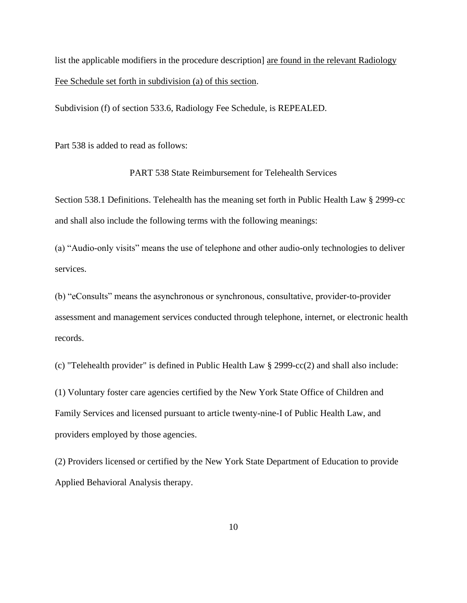list the applicable modifiers in the procedure description] are found in the relevant Radiology Fee Schedule set forth in subdivision (a) of this section.

Subdivision (f) of section 533.6, Radiology Fee Schedule, is REPEALED.

Part 538 is added to read as follows:

PART 538 State Reimbursement for Telehealth Services

Section 538.1 Definitions. Telehealth has the meaning set forth in Public Health Law § 2999-cc and shall also include the following terms with the following meanings:

(a) "Audio-only visits" means the use of telephone and other audio-only technologies to deliver services.

(b) "eConsults" means the asynchronous or synchronous, consultative, provider-to-provider assessment and management services conducted through telephone, internet, or electronic health records.

(c) "Telehealth provider" is defined in Public Health Law § 2999-cc(2) and shall also include:

(1) Voluntary foster care agencies certified by the New York State Office of Children and Family Services and licensed pursuant to article twenty-nine-I of Public Health Law, and providers employed by those agencies.

(2) Providers licensed or certified by the New York State Department of Education to provide Applied Behavioral Analysis therapy.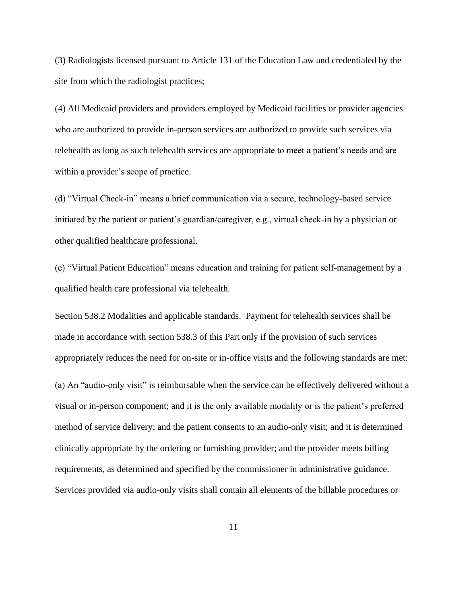(3) Radiologists licensed pursuant to Article 131 of the Education Law and credentialed by the site from which the radiologist practices;

(4) All Medicaid providers and providers employed by Medicaid facilities or provider agencies who are authorized to provide in-person services are authorized to provide such services via telehealth as long as such telehealth services are appropriate to meet a patient's needs and are within a provider's scope of practice.

(d) "Virtual Check-in" means a brief communication via a secure, technology-based service initiated by the patient or patient's guardian/caregiver, e.g., virtual check-in by a physician or other qualified healthcare professional.

(e) "Virtual Patient Education" means education and training for patient self-management by a qualified health care professional via telehealth.

Section 538.2 Modalities and applicable standards. Payment for telehealth services shall be made in accordance with section 538.3 of this Part only if the provision of such services appropriately reduces the need for on-site or in-office visits and the following standards are met: (a) An "audio-only visit" is reimbursable when the service can be effectively delivered without a visual or in-person component; and it is the only available modality or is the patient's preferred method of service delivery; and the patient consents to an audio-only visit; and it is determined clinically appropriate by the ordering or furnishing provider; and the provider meets billing requirements, as determined and specified by the commissioner in administrative guidance. Services provided via audio-only visits shall contain all elements of the billable procedures or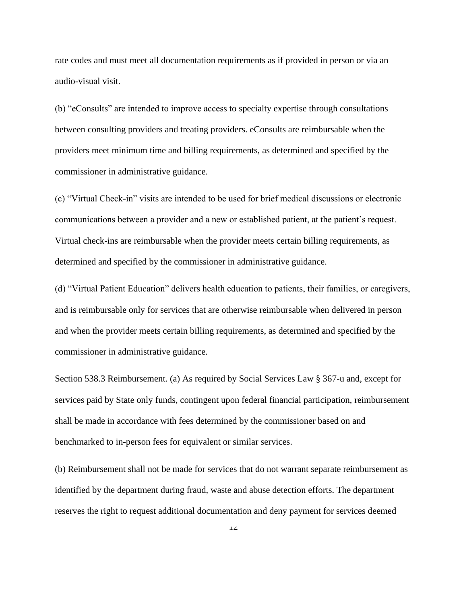rate codes and must meet all documentation requirements as if provided in person or via an audio-visual visit.

(b) "eConsults" are intended to improve access to specialty expertise through consultations between consulting providers and treating providers. eConsults are reimbursable when the providers meet minimum time and billing requirements, as determined and specified by the commissioner in administrative guidance.

(c) "Virtual Check-in" visits are intended to be used for brief medical discussions or electronic communications between a provider and a new or established patient, at the patient's request. Virtual check-ins are reimbursable when the provider meets certain billing requirements, as determined and specified by the commissioner in administrative guidance.

(d) "Virtual Patient Education" delivers health education to patients, their families, or caregivers, and is reimbursable only for services that are otherwise reimbursable when delivered in person and when the provider meets certain billing requirements, as determined and specified by the commissioner in administrative guidance.

Section 538.3 Reimbursement. (a) As required by Social Services Law § 367-u and, except for services paid by State only funds, contingent upon federal financial participation, reimbursement shall be made in accordance with fees determined by the commissioner based on and benchmarked to in-person fees for equivalent or similar services.

(b) Reimbursement shall not be made for services that do not warrant separate reimbursement as identified by the department during fraud, waste and abuse detection efforts. The department reserves the right to request additional documentation and deny payment for services deemed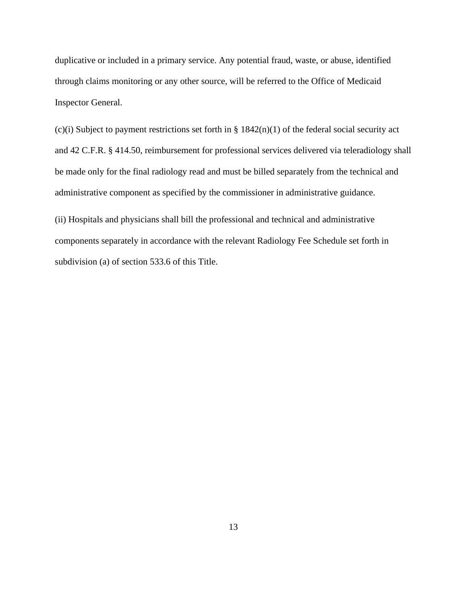duplicative or included in a primary service. Any potential fraud, waste, or abuse, identified through claims monitoring or any other source, will be referred to the Office of Medicaid Inspector General.

(c)(i) Subject to payment restrictions set forth in  $\S 1842(n)(1)$  of the federal social security act and 42 C.F.R. § 414.50, reimbursement for professional services delivered via teleradiology shall be made only for the final radiology read and must be billed separately from the technical and administrative component as specified by the commissioner in administrative guidance.

(ii) Hospitals and physicians shall bill the professional and technical and administrative components separately in accordance with the relevant Radiology Fee Schedule set forth in subdivision (a) of section 533.6 of this Title.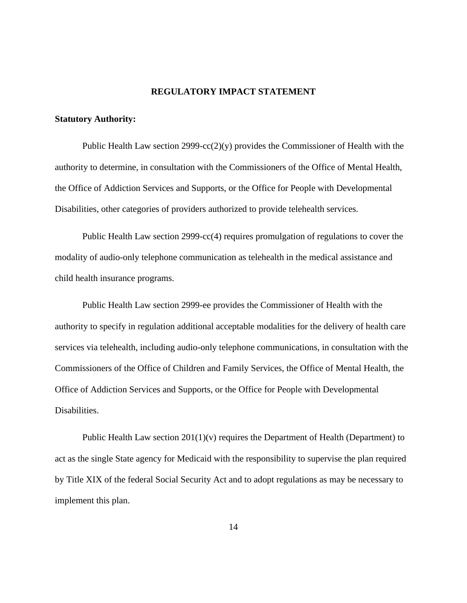#### **REGULATORY IMPACT STATEMENT**

#### **Statutory Authority:**

Public Health Law section 2999-cc(2)(y) provides the Commissioner of Health with the authority to determine, in consultation with the Commissioners of the Office of Mental Health, the Office of Addiction Services and Supports, or the Office for People with Developmental Disabilities, other categories of providers authorized to provide telehealth services.

Public Health Law section 2999-cc(4) requires promulgation of regulations to cover the modality of audio-only telephone communication as telehealth in the medical assistance and child health insurance programs.

Public Health Law section 2999-ee provides the Commissioner of Health with the authority to specify in regulation additional acceptable modalities for the delivery of health care services via telehealth, including audio-only telephone communications, in consultation with the Commissioners of the Office of Children and Family Services, the Office of Mental Health, the Office of Addiction Services and Supports, or the Office for People with Developmental Disabilities.

Public Health Law section  $201(1)(v)$  requires the Department of Health (Department) to act as the single State agency for Medicaid with the responsibility to supervise the plan required by Title XIX of the federal Social Security Act and to adopt regulations as may be necessary to implement this plan.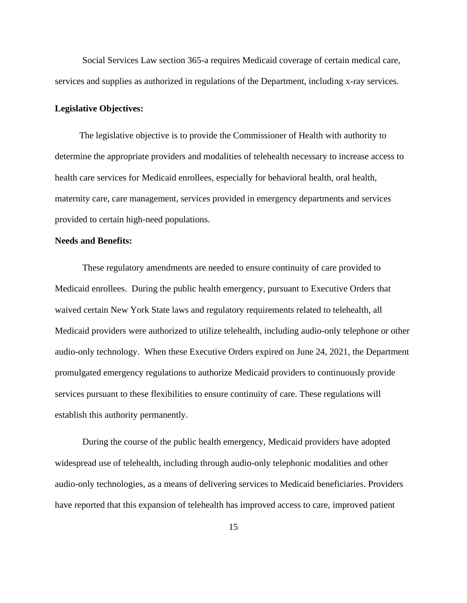Social Services Law section 365-a requires Medicaid coverage of certain medical care, services and supplies as authorized in regulations of the Department, including x-ray services.

### **Legislative Objectives:**

The legislative objective is to provide the Commissioner of Health with authority to determine the appropriate providers and modalities of telehealth necessary to increase access to health care services for Medicaid enrollees, especially for behavioral health, oral health, maternity care, care management, services provided in emergency departments and services provided to certain high-need populations.

### **Needs and Benefits:**

These regulatory amendments are needed to ensure continuity of care provided to Medicaid enrollees. During the public health emergency, pursuant to Executive Orders that waived certain New York State laws and regulatory requirements related to telehealth, all Medicaid providers were authorized to utilize telehealth, including audio-only telephone or other audio-only technology. When these Executive Orders expired on June 24, 2021, the Department promulgated emergency regulations to authorize Medicaid providers to continuously provide services pursuant to these flexibilities to ensure continuity of care. These regulations will establish this authority permanently.

During the course of the public health emergency, Medicaid providers have adopted widespread use of telehealth, including through audio-only telephonic modalities and other audio-only technologies, as a means of delivering services to Medicaid beneficiaries. Providers have reported that this expansion of telehealth has improved access to care, improved patient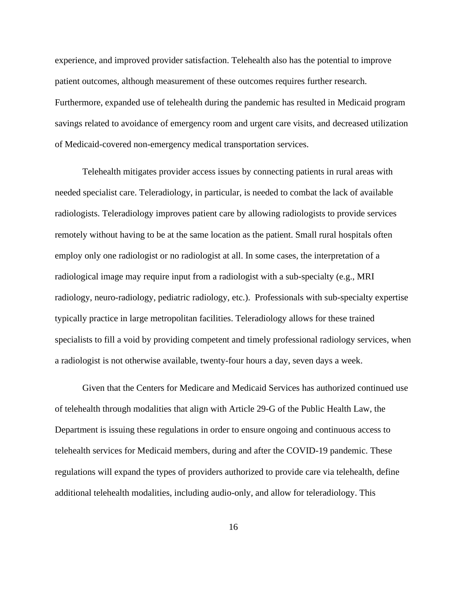experience, and improved provider satisfaction. Telehealth also has the potential to improve patient outcomes, although measurement of these outcomes requires further research. Furthermore, expanded use of telehealth during the pandemic has resulted in Medicaid program savings related to avoidance of emergency room and urgent care visits, and decreased utilization of Medicaid-covered non-emergency medical transportation services.

Telehealth mitigates provider access issues by connecting patients in rural areas with needed specialist care. Teleradiology, in particular, is needed to combat the lack of available radiologists. Teleradiology improves patient care by allowing radiologists to provide services remotely without having to be at the same location as the patient. Small rural hospitals often employ only one radiologist or no radiologist at all. In some cases, the interpretation of a radiological image may require input from a radiologist with a sub-specialty (e.g., MRI radiology, neuro-radiology, pediatric radiology, etc.). Professionals with sub-specialty expertise typically practice in large metropolitan facilities. Teleradiology allows for these trained specialists to fill a void by providing competent and timely professional radiology services, when a radiologist is not otherwise available, twenty-four hours a day, seven days a week.

Given that the Centers for Medicare and Medicaid Services has authorized continued use of telehealth through modalities that align with Article 29-G of the Public Health Law, the Department is issuing these regulations in order to ensure ongoing and continuous access to telehealth services for Medicaid members, during and after the COVID-19 pandemic. These regulations will expand the types of providers authorized to provide care via telehealth, define additional telehealth modalities, including audio-only, and allow for teleradiology. This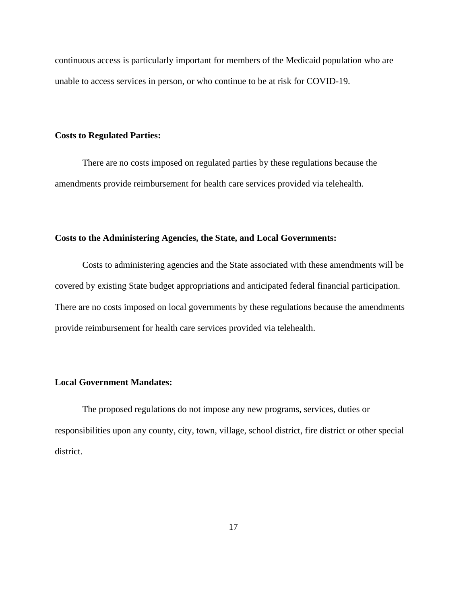continuous access is particularly important for members of the Medicaid population who are unable to access services in person, or who continue to be at risk for COVID-19.

## **Costs to Regulated Parties:**

There are no costs imposed on regulated parties by these regulations because the amendments provide reimbursement for health care services provided via telehealth.

#### **Costs to the Administering Agencies, the State, and Local Governments:**

Costs to administering agencies and the State associated with these amendments will be covered by existing State budget appropriations and anticipated federal financial participation. There are no costs imposed on local governments by these regulations because the amendments provide reimbursement for health care services provided via telehealth.

## **Local Government Mandates:**

The proposed regulations do not impose any new programs, services, duties or responsibilities upon any county, city, town, village, school district, fire district or other special district.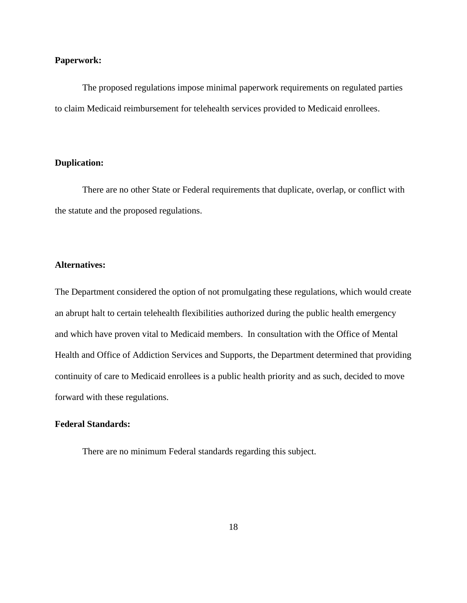#### **Paperwork:**

The proposed regulations impose minimal paperwork requirements on regulated parties to claim Medicaid reimbursement for telehealth services provided to Medicaid enrollees.

### **Duplication:**

There are no other State or Federal requirements that duplicate, overlap, or conflict with the statute and the proposed regulations.

## **Alternatives:**

The Department considered the option of not promulgating these regulations, which would create an abrupt halt to certain telehealth flexibilities authorized during the public health emergency and which have proven vital to Medicaid members. In consultation with the Office of Mental Health and Office of Addiction Services and Supports, the Department determined that providing continuity of care to Medicaid enrollees is a public health priority and as such, decided to move forward with these regulations.

## **Federal Standards:**

There are no minimum Federal standards regarding this subject.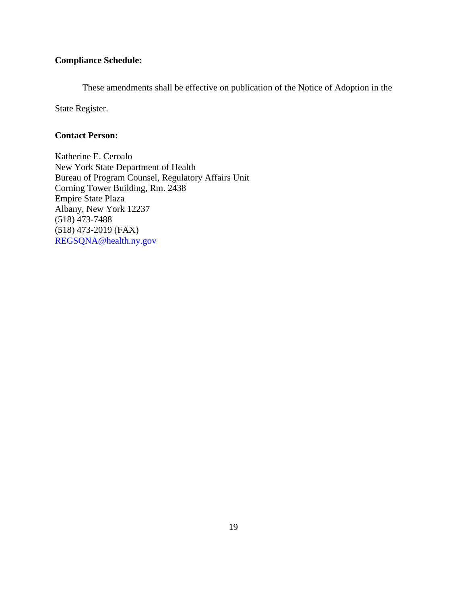## **Compliance Schedule:**

These amendments shall be effective on publication of the Notice of Adoption in the

State Register.

## **Contact Person:**

Katherine E. Ceroalo New York State Department of Health Bureau of Program Counsel, Regulatory Affairs Unit Corning Tower Building, Rm. 2438 Empire State Plaza Albany, New York 12237 (518) 473-7488 (518) 473-2019 (FAX) [REGSQNA@health.ny.gov](mailto:REGSQNA@health.ny.gov)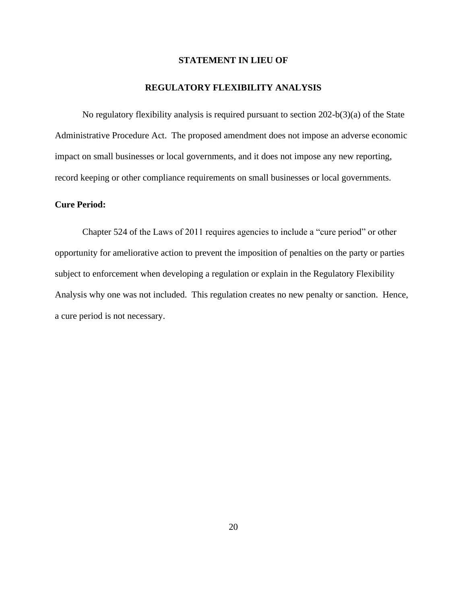## **STATEMENT IN LIEU OF**

#### **REGULATORY FLEXIBILITY ANALYSIS**

No regulatory flexibility analysis is required pursuant to section 202-b(3)(a) of the State Administrative Procedure Act. The proposed amendment does not impose an adverse economic impact on small businesses or local governments, and it does not impose any new reporting, record keeping or other compliance requirements on small businesses or local governments.

## **Cure Period:**

Chapter 524 of the Laws of 2011 requires agencies to include a "cure period" or other opportunity for ameliorative action to prevent the imposition of penalties on the party or parties subject to enforcement when developing a regulation or explain in the Regulatory Flexibility Analysis why one was not included. This regulation creates no new penalty or sanction. Hence, a cure period is not necessary.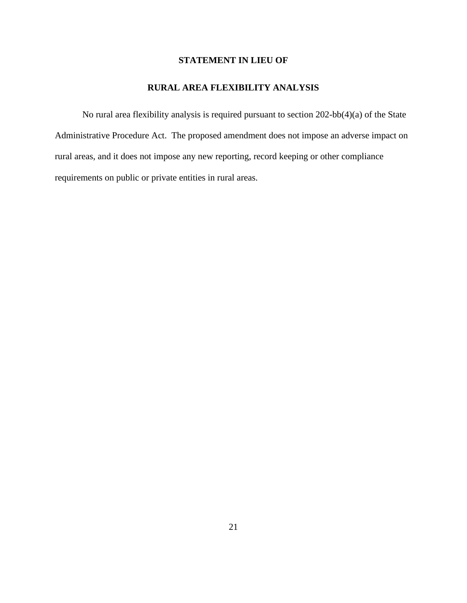## **STATEMENT IN LIEU OF**

## **RURAL AREA FLEXIBILITY ANALYSIS**

No rural area flexibility analysis is required pursuant to section 202-bb(4)(a) of the State Administrative Procedure Act. The proposed amendment does not impose an adverse impact on rural areas, and it does not impose any new reporting, record keeping or other compliance requirements on public or private entities in rural areas.